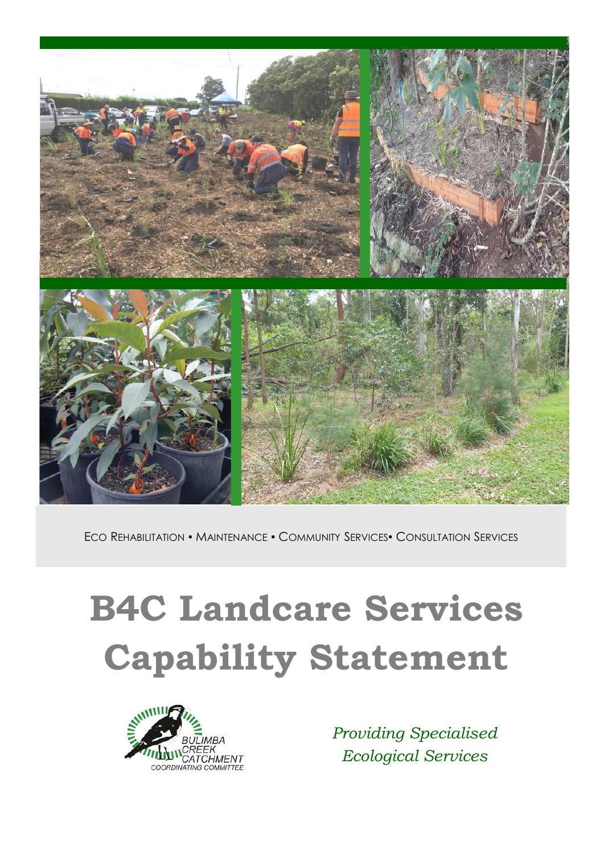

ECO REHABILITATION ▪ MAINTENANCE ▪ COMMUNITY SERVICES▪ CONSULTATION SERVICES

# **B4C Landcare Services Capability Statement**



*Providing Specialised Ecological Services*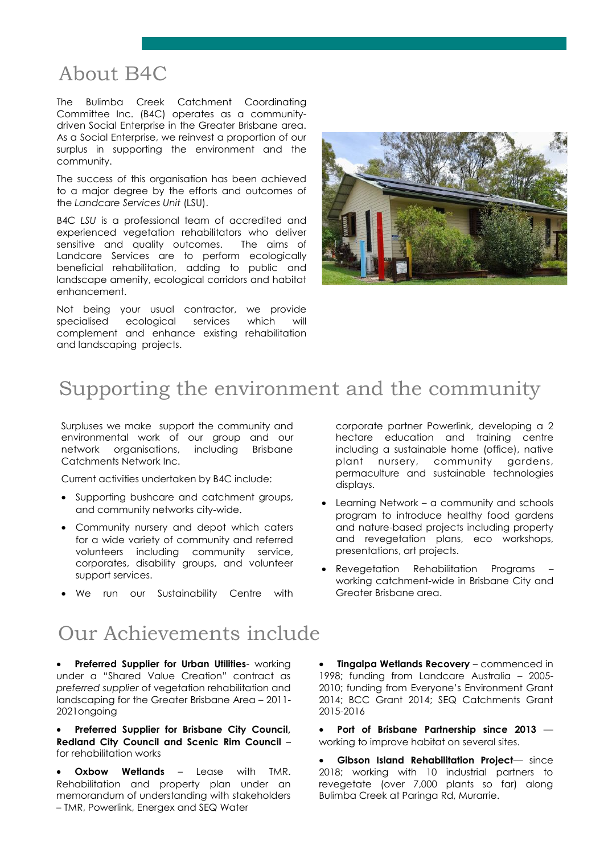# About B4C

The Bulimba Creek Catchment Coordinating Committee Inc. (B4C) operates as a communitydriven Social Enterprise in the Greater Brisbane area. As a Social Enterprise, we reinvest a proportion of our surplus in supporting the environment and the community.

The success of this organisation has been achieved to a major degree by the efforts and outcomes of the *Landcare Services Unit* (LSU).

B4C *LSU* is a professional team of accredited and experienced vegetation rehabilitators who deliver sensitive and quality outcomes. The aims of Landcare Services are to perform ecologically beneficial rehabilitation, adding to public and landscape amenity, ecological corridors and habitat enhancement.

Not being your usual contractor, we provide specialised ecological services which will complement and enhance existing rehabilitation and landscaping projects.



# Supporting the environment and the community

Surpluses we make support the community and environmental work of our group and our network organisations, including Brisbane Catchments Network Inc.

Current activities undertaken by B4C include:

- Supporting bushcare and catchment groups, and community networks city-wide.
- Community nursery and depot which caters for a wide variety of community and referred volunteers including community service, corporates, disability groups, and volunteer support services.
- We run our Sustainability Centre with

### Our Achievements include

• **Preferred Supplier for Urban Utilities**- working under a "Shared Value Creation" contract as *preferred supplier* of vegetation rehabilitation and landscaping for the Greater Brisbane Area – 2011- 2021ongoing

• **Preferred Supplier for Brisbane City Council, Redland City Council and Scenic Rim Council** – for rehabilitation works

**Oxbow Wetlands – Lease with TMR.** Rehabilitation and property plan under an memorandum of understanding with stakeholders – TMR, Powerlink, Energex and SEQ Water

corporate partner Powerlink, developing a 2 hectare education and training centre including a sustainable home (office), native plant nursery, community gardens, permaculture and sustainable technologies displays.

- Learning Network a community and schools program to introduce healthy food gardens and nature-based projects including property and revegetation plans, eco workshops, presentations, art projects.
- Revegetation Rehabilitation Programs working catchment-wide in Brisbane City and Greater Brisbane area.

• **Tingalpa Wetlands Recovery** – commenced in 1998; funding from Landcare Australia – 2005- 2010; funding from Everyone's Environment Grant 2014; BCC Grant 2014; SEQ Catchments Grant 2015-2016

• **Port of Brisbane Partnership since 2013**  working to improve habitat on several sites.

• **Gibson Island Rehabilitation Project**— since 2018; working with 10 industrial partners to revegetate (over 7,000 plants so far) along Bulimba Creek at Paringa Rd, Murarrie.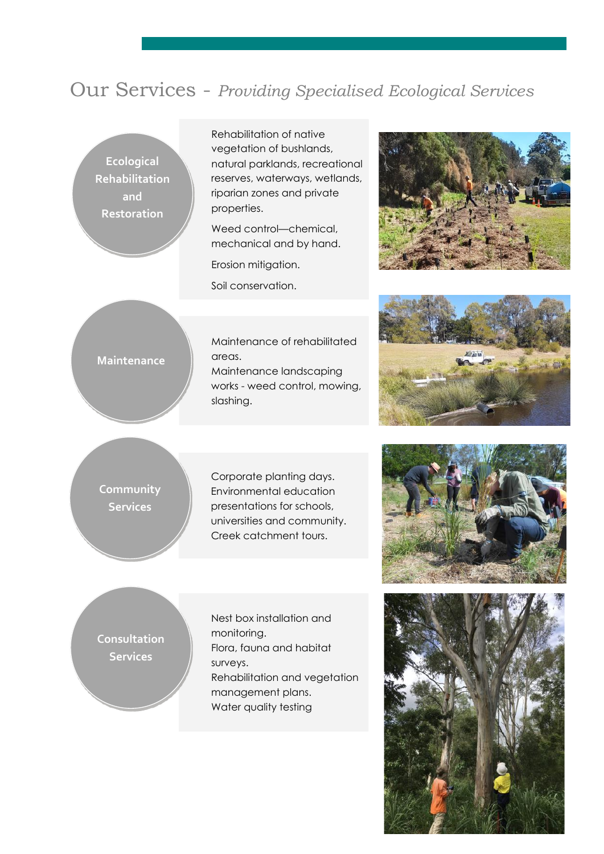## Our Services - *Providing Specialised Ecological Services*

**Ecological Rehabilitation and Restoration**

Rehabilitation of native vegetation of bushlands, natural parklands, recreational reserves, waterways, wetlands, riparian zones and private properties.

Weed control—chemical, mechanical and by hand.

Erosion mitigation.

Soil conservation.



#### **Maintenance**

Maintenance of rehabilitated areas. Maintenance landscaping works - weed control, mowing,

slashing.



#### **Community Services**

Corporate planting days. Environmental education presentations for schools, universities and community. Creek catchment tours.



#### **Consultation Services**

Nest box installation and monitoring. Flora, fauna and habitat surveys. Rehabilitation and vegetation management plans. Water quality testing

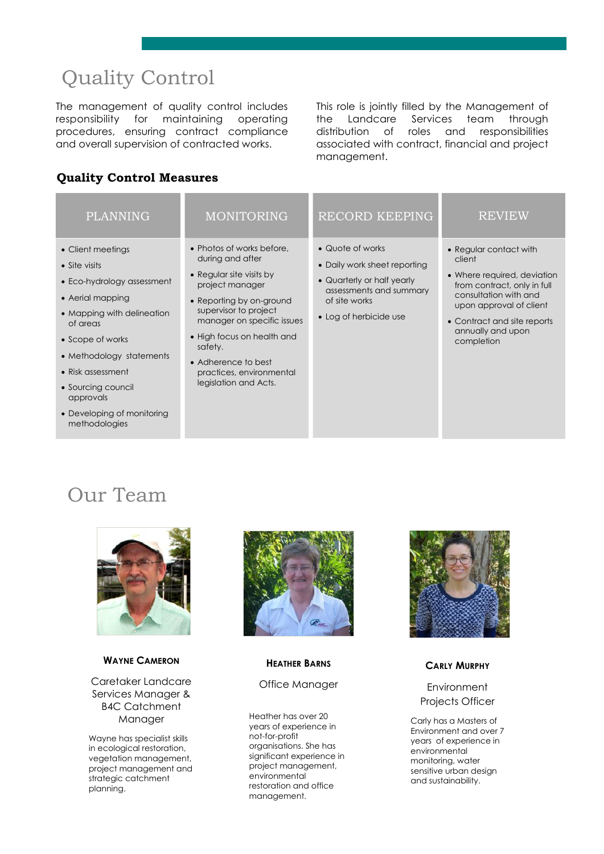# Quality Control

The management of quality control includes responsibility for maintaining operating procedures, ensuring contract compliance and overall supervision of contracted works.

This role is jointly filled by the Management of the Landcare Services team through distribution of roles and responsibilities associated with contract, financial and project management.

#### **Quality Control Measures**

| <b>PLANNING</b>                                                                                                                                                                                                                                                                       | <b>MONITORING</b>                                                                                                                                                                                                                                                                                    | <b>RECORD KEEPING</b>                                                                                                                                | <b>REVIEW</b>                                                                                                                                                                                                        |
|---------------------------------------------------------------------------------------------------------------------------------------------------------------------------------------------------------------------------------------------------------------------------------------|------------------------------------------------------------------------------------------------------------------------------------------------------------------------------------------------------------------------------------------------------------------------------------------------------|------------------------------------------------------------------------------------------------------------------------------------------------------|----------------------------------------------------------------------------------------------------------------------------------------------------------------------------------------------------------------------|
| • Client meetings<br>• Site visits<br>• Eco-hydrology assessment<br>• Aerial mapping<br>• Mapping with delineation<br>of areas<br>• Scope of works<br>• Methodology statements<br>• Risk assessment<br>• Sourcing council<br>approvals<br>• Developing of monitoring<br>methodologies | • Photos of works before,<br>during and after<br>• Regular site visits by<br>project manager<br>• Reporting by on-ground<br>supervisor to project<br>manager on specific issues<br>• High focus on health and<br>safety.<br>• Adherence to best<br>practices, environmental<br>legislation and Acts. | • Quote of works<br>• Daily work sheet reporting<br>• Quarterly or half yearly<br>assessments and summary<br>of site works<br>• Log of herbicide use | • Regular contact with<br>client<br>• Where required, deviation<br>from contract, only in full<br>consultation with and<br>upon approval of client<br>• Contract and site reports<br>annually and upon<br>completion |

# Our Team



#### **WAYNE CAMERON**

Caretaker Landcare Services Manager & B4C Catchment Manager

Wayne has specialist skills in ecological restoration, vegetation management, project management and strategic catchment planning.



#### **HEATHER BARNS**

#### Office Manager

Heather has over 20 years of experience in not-for-profit organisations. She has significant experience in project management, environmental restoration and office management.



#### **CARLY MURPHY**

#### Environment Projects Officer

Carly has a Masters of Environment and over 7 years of experience in environmental monitoring, water sensitive urban design and sustainability.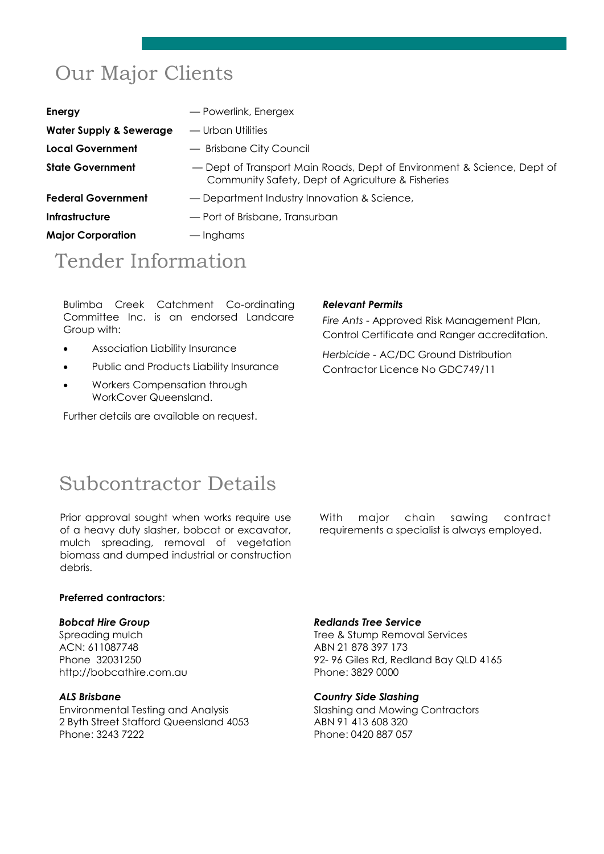# Our Major Clients

| <b>Energy</b>                      | - Powerlink, Energex                                                                                                        |
|------------------------------------|-----------------------------------------------------------------------------------------------------------------------------|
| <b>Water Supply &amp; Sewerage</b> | — Urban Utilities                                                                                                           |
| Local Government                   | - Brisbane City Council                                                                                                     |
| <b>State Government</b>            | - Dept of Transport Main Roads, Dept of Environment & Science, Dept of<br>Community Safety, Dept of Agriculture & Fisheries |
| <b>Federal Government</b>          | - Department Industry Innovation & Science,                                                                                 |
| Infrastructure                     | — Port of Brisbane, Transurban                                                                                              |
| <b>Major Corporation</b>           | — Inghams                                                                                                                   |
|                                    |                                                                                                                             |

# Tender Information

Bulimba Creek Catchment Co-ordinating Committee Inc. is an endorsed Landcare Group with:

- Association Liability Insurance
- Public and Products Liability Insurance
- Workers Compensation through WorkCover Queensland.

Further details are available on request.

#### *Relevant Permits*

*Fire Ants* - Approved Risk Management Plan, Control Certificate and Ranger accreditation.

*Herbicide -* AC/DC Ground Distribution Contractor Licence No GDC749/11

### Subcontractor Details

Prior approval sought when works require use of a heavy duty slasher, bobcat or excavator, mulch spreading, removal of vegetation biomass and dumped industrial or construction debris.

With major chain sawing contract requirements a specialist is always employed.

#### **Preferred contractors**:

#### *Bobcat Hire Group*

Spreading mulch ACN: 611087748 Phone 32031250 http://bobcathire.com.au

#### *ALS Brisbane*

Environmental Testing and Analysis 2 Byth Street Stafford Queensland 4053 Phone: 3243 7222

#### *Redlands Tree Service*

Tree & Stump Removal Services ABN 21 878 397 173 92- 96 Giles Rd, Redland Bay QLD 4165 Phone: 3829 0000

#### *Country Side Slashing*

Slashing and Mowing Contractors ABN 91 413 608 320 Phone: 0420 887 057